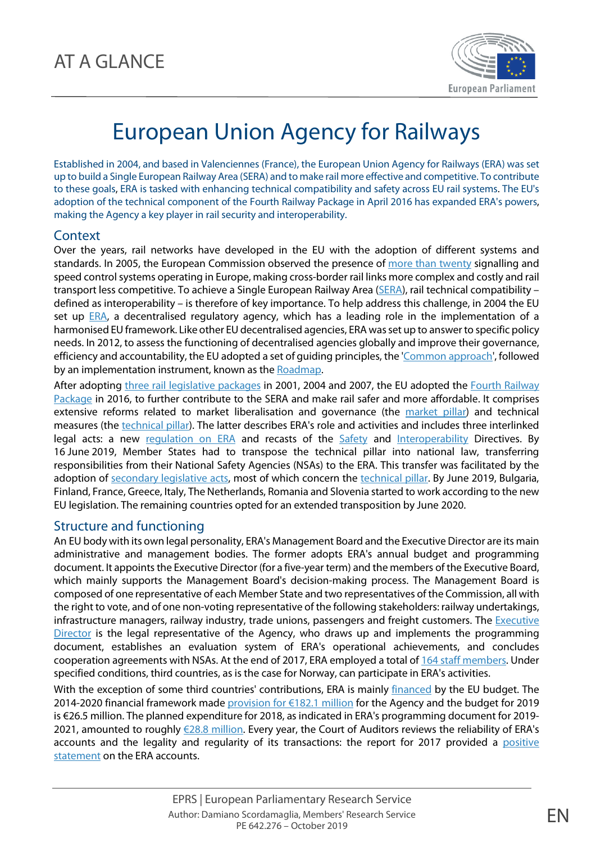

## European Union Agency for Railways

Established in 2004, and based in Valenciennes (France), the European Union Agency for Railways (ERA) was set up to build a Single European Railway Area (SERA) and to make rail more effective and competitive. To contribute to these goals, ERA is tasked with enhancing technical compatibility and safety across EU rail systems. The EU's adoption of the technical component of the Fourth Railway Package in April 2016 has expanded ERA's powers, making the Agency a key player in rail security and interoperability.

## **Context**

Over the years, rail networks have developed in the EU with the adoption of different systems and standards. In 2005, the European Commission observed the presence of [more than twenty](https://eur-lex.europa.eu/legal-content/EN/TXT/?uri=COM:2005:0298:FIN) signalling and speed control systems operating in Europe, making cross-border rail links more complex and costly and rail transport less competitive. To achieve a Single European Railway Area [\(SERA\)](https://ec.europa.eu/transport/modes/rail/news/2019-05-16-single-european-railway-area_en), rail technical compatibility – defined as interoperability – is therefore of key importance. To help address this challenge, in 2004 the EU set up [ERA,](https://www.era.europa.eu/) a decentralised regulatory agency, which has a leading role in the implementation of a harmonised EU framework. Like other EU decentralised agencies, ERA was set up to answer to specific policy needs. In 2012, to assess the functioning of decentralised agencies globally and improve their governance, efficiency and accountability, the EU adopted a set of guiding principles, the ['Common approach'](https://europa.eu/european-union/sites/europaeu/files/docs/body/joint_statement_and_common_approach_2012_en.pdf), followed by an implementation instrument, known as th[e Roadmap.](https://europa.eu/european-union/sites/europaeu/files/docs/body/2012-12-18_roadmap_on_the_follow_up_to_the_common_approach_on_eu_decentralised_agencies_en.pdf)

After adopting three rail [legislative packages](https://www.europarl.europa.eu/RegData/etudes/IDAN/2016/579088/EPRS_IDA(2016)579088_EN.pdf#page=8) in 2001, 2004 and 2007, the EU adopted the Fourth Railway [Package](https://ec.europa.eu/transport/modes/rail/packages/2013_en) in 2016, to further contribute to the SERA and make rail safer and more affordable. It comprises extensive reforms related to market liberalisation and governance (the [market pillar\)](https://www.europarl.europa.eu/thinktank/en/document.html?reference=EPRS_IDA(2016)579088) and technical measures (the [technical pillar\)](https://www.europarl.europa.eu/thinktank/en/document.html?reference=EPRS_IDA(2016)579088). The latter describes ERA's role and activities and includes three interlinked legal acts: a new [regulation on ERA](http://eur-lex.europa.eu/legal-content/FR/TXT/?uri=uriserv:OJ.L_.2016.138.01.0001.01.FRA&toc=OJ:L:2016:138:TOC) and recasts of the [Safety](http://eur-lex.europa.eu/legal-content/FR/TXT/?uri=uriserv:OJ.L_.2016.138.01.0102.01.FRA&toc=OJ:L:2016:138:TOC) and [Interoperability](http://eur-lex.europa.eu/legal-content/FR/TXT/?uri=uriserv:OJ.L_.2016.138.01.0044.01.FRA&toc=OJ:L:2016:138:TOC) Directives. By 16 June 2019, Member States had to transpose the technical pillar into national law, transferring responsibilities from their National Safety Agencies (NSAs) to the ERA. This transfer was facilitated by the adoption of [secondary legislative acts,](https://eur-lex.europa.eu/legal-content/EN/TXT/?uri=CELEX%3A32018R0545) most of which concern the [technical pillar.](https://eur-lex.europa.eu/legal-content/EN/TXT/?uri=CELEX%3A32018R0763) By June 2019, Bulgaria, Finland, France, Greece, Italy, The Netherlands, Romania and Slovenia started to work according to the new EU legislation. The remaining countries opted for an extended transposition by June 2020.

## Structure and functioning

An EU body with its own legal personality, ERA's Management Board and the Executive Director are its main administrative and management bodies. The former adopts ERA's annual budget and programming document. It appoints the Executive Director (for a five-year term) and the members of the Executive Board, which mainly supports the Management Board's decision-making process. The Management Board is composed of one representative of each Member State and two representatives of the Commission, all with the right to vote, and of one non-voting representative of the following stakeholders: railway undertakings, infrastructure managers, railway industry, trade unions, passengers and freight customers. The [Executive](https://www.era.europa.eu/agency/executive-director_en)  [Director](https://www.era.europa.eu/agency/executive-director_en) is the legal representative of the Agency, who draws up and implements the programming document, establishes an evaluation system of ERA's operational achievements, and concludes cooperation agreements with NSAs. At the end of 2017, ERA employed a total of [164 staff members.](https://g8fip1kplyr33r3krz5b97d1-wpengine.netdna-ssl.com/wp-content/uploads/2018/10/Full-ECA-400-page-report.pdf#page=150) Under specified conditions, third countries, as is the case for Norway, can participate in ERA's activities.

With the exception of some third countries' contributions, ERA is mainly [financed](https://eur-lex.europa.eu/legal-content/EN/TXT/?uri=CELEX:32019B0329(15)) by the EU budget. The 2014-2020 financial framework made provision for  $\epsilon$ 182.1 million for the Agency and the budget for 2019 is €26.5 million. The planned expenditure for 2018, as indicated in ERA's programming document for 2019- 2021, amounted to roughly [€28.8 million.](https://www.era.europa.eu/sites/default/files/agency/docs/decision/decision_n186_annex_adopting_single_programming_document_2019_en.pdf#page=45) Every year, the Court of Auditors reviews the reliability of ERA's accounts and the legality and regularity of its transactions: the report for 2017 provided a positive [statement](https://g8fip1kplyr33r3krz5b97d1-wpengine.netdna-ssl.com/wp-content/uploads/2018/10/Full-ECA-400-page-report.pdf#page=151) on the ERA accounts.